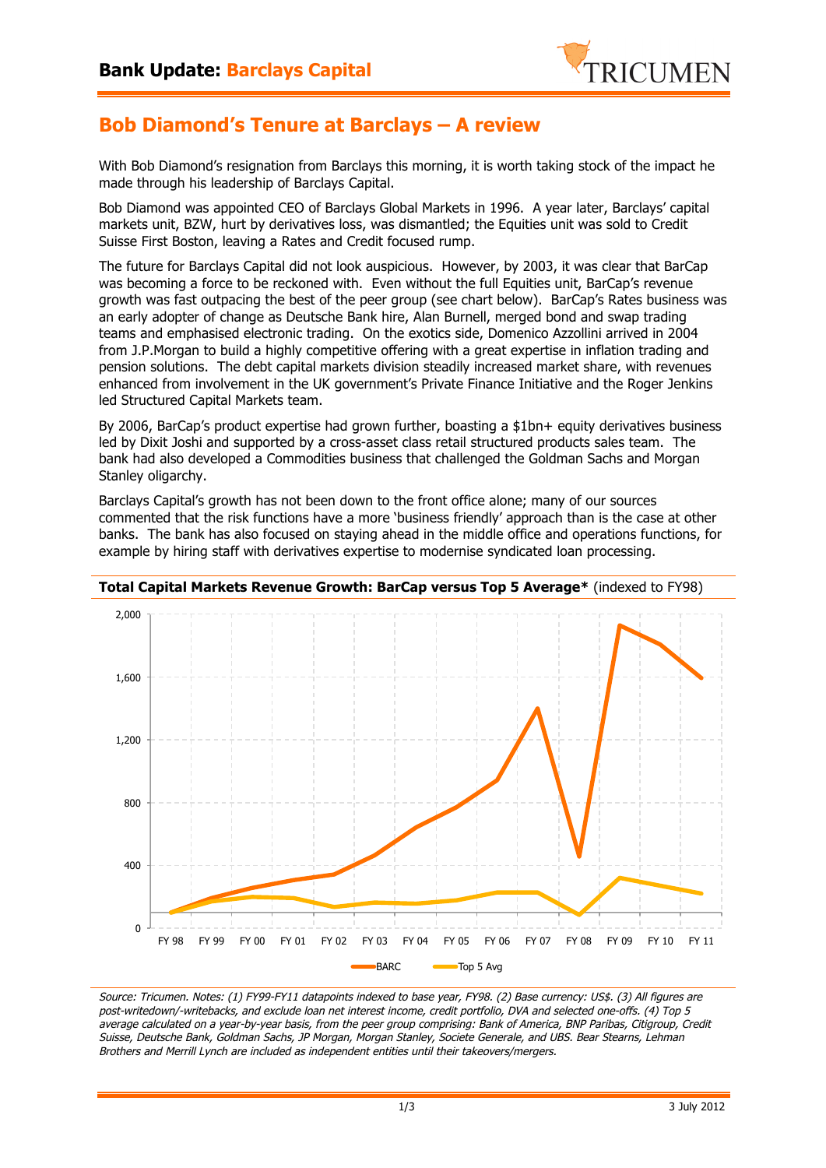

## **Bob Diamond's Tenure at Barclays – A review**

With Bob Diamond's resignation from Barclays this morning, it is worth taking stock of the impact he made through his leadership of Barclays Capital.

Bob Diamond was appointed CEO of Barclays Global Markets in 1996. A year later, Barclays' capital markets unit, BZW, hurt by derivatives loss, was dismantled; the Equities unit was sold to Credit Suisse First Boston, leaving a Rates and Credit focused rump.

The future for Barclays Capital did not look auspicious. However, by 2003, it was clear that BarCap was becoming a force to be reckoned with. Even without the full Equities unit, BarCap's revenue growth was fast outpacing the best of the peer group (see chart below). BarCap's Rates business was an early adopter of change as Deutsche Bank hire, Alan Burnell, merged bond and swap trading teams and emphasised electronic trading. On the exotics side, Domenico Azzollini arrived in 2004 from J.P.Morgan to build a highly competitive offering with a great expertise in inflation trading and pension solutions. The debt capital markets division steadily increased market share, with revenues enhanced from involvement in the UK government's Private Finance Initiative and the Roger Jenkins led Structured Capital Markets team.

By 2006, BarCap's product expertise had grown further, boasting a \$1bn+ equity derivatives business led by Dixit Joshi and supported by a cross-asset class retail structured products sales team. The bank had also developed a Commodities business that challenged the Goldman Sachs and Morgan Stanley oligarchy.

Barclays Capital's growth has not been down to the front office alone; many of our sources commented that the risk functions have a more 'business friendly' approach than is the case at other banks. The bank has also focused on staying ahead in the middle office and operations functions, for example by hiring staff with derivatives expertise to modernise syndicated loan processing.



**Total Capital Markets Revenue Growth: BarCap versus Top 5 Average\*** (indexed to FY98)

Source: Tricumen. Notes: (1) FY99-FY11 datapoints indexed to base year, FY98. (2) Base currency: US\$. (3) All figures are post-writedown/-writebacks, and exclude loan net interest income, credit portfolio, DVA and selected one-offs. (4) Top 5 average calculated on a year-by-year basis, from the peer group comprising: Bank of America, BNP Paribas, Citigroup, Credit Suisse, Deutsche Bank, Goldman Sachs, JP Morgan, Morgan Stanley, Societe Generale, and UBS. Bear Stearns, Lehman Brothers and Merrill Lynch are included as independent entities until their takeovers/mergers.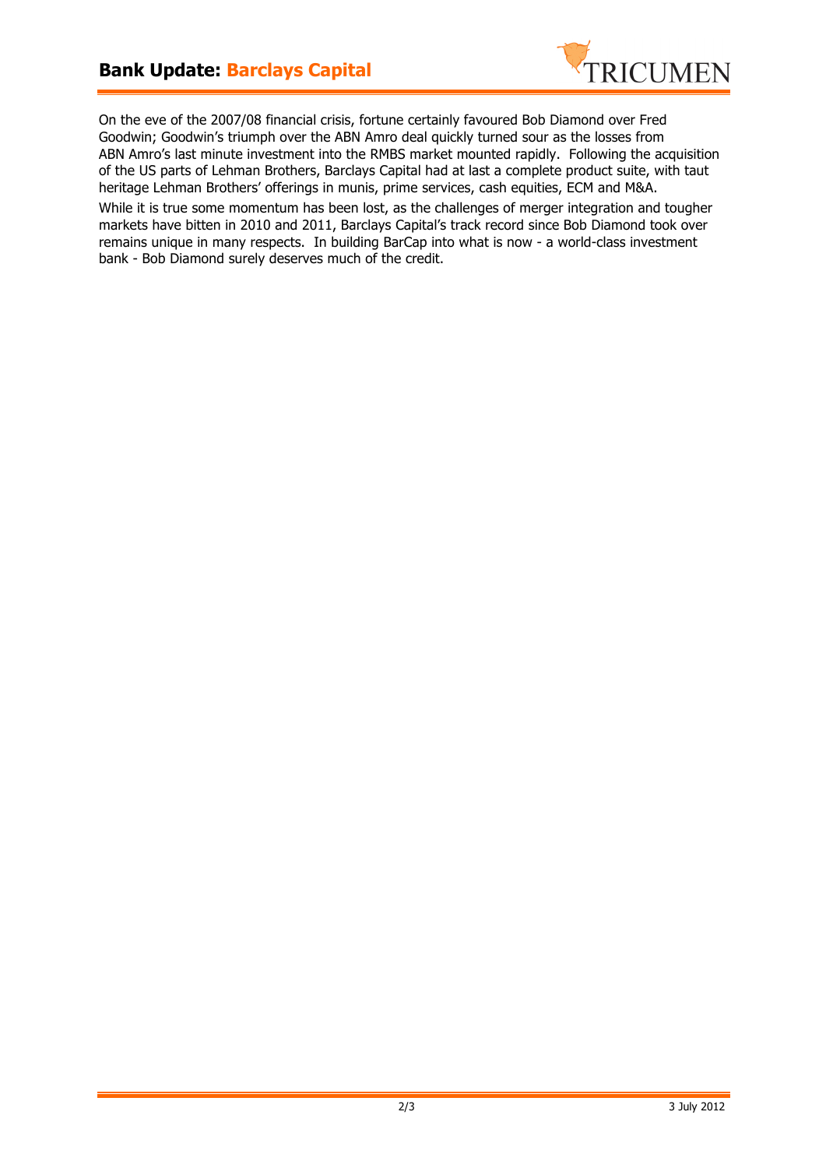

On the eve of the 2007/08 financial crisis, fortune certainly favoured Bob Diamond over Fred Goodwin; Goodwin's triumph over the ABN Amro deal quickly turned sour as the losses from ABN Amro's last minute investment into the RMBS market mounted rapidly. Following the acquisition of the US parts of Lehman Brothers, Barclays Capital had at last a complete product suite, with taut heritage Lehman Brothers' offerings in munis, prime services, cash equities, ECM and M&A.

While it is true some momentum has been lost, as the challenges of merger integration and tougher markets have bitten in 2010 and 2011, Barclays Capital's track record since Bob Diamond took over remains unique in many respects. In building BarCap into what is now - a world-class investment bank - Bob Diamond surely deserves much of the credit.